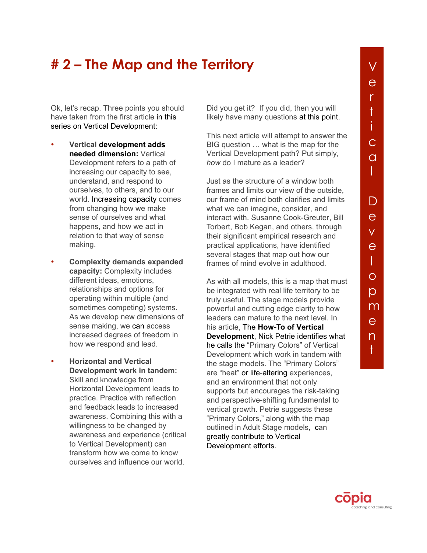## **# 2 – The Map and the Territory**

Ok, let's recap. Three points you should have taken from the first article in this series on Vertical Development:

- **Vertical development adds needed dimension:** Vertical Development refers to a path of increasing our capacity to see, understand, and respond to ourselves, to others, and to our world. Increasing capacity comes from changing how we make sense of ourselves and what happens, and how we act in relation to that way of sense making.
- **Complexity demands expanded capacity:** Complexity includes different ideas, emotions, relationships and options for operating within multiple (and sometimes competing) systems. As we develop new dimensions of sense making, we can access increased degrees of freedom in how we respond and lead.
- **Horizontal and Vertical Development work in tandem:** Skill and knowledge from Horizontal Development leads to practice. Practice with reflection and feedback leads to increased awareness. Combining this with a willingness to be changed by awareness and experience (critical to Vertical Development) can transform how we come to know ourselves and influence our world.

Did you get it? If you did, then you will likely have many questions at this point.

This next article will attempt to answer the BIG question … what is the map for the Vertical Development path? Put simply, *how* do I mature as a leader?

Just as the structure of a window both frames and limits our view of the outside, our frame of mind both clarifies and limits what we can imagine, consider, and interact with. Susanne Cook-Greuter, Bill Torbert, Bob Kegan, and others, through their significant empirical research and practical applications, have identified several stages that map out how our frames of mind evolve in adulthood.

As with all models, this is a map that must be integrated with real life territory to be truly useful. The stage models provide powerful and cutting edge clarity to how leaders can mature to the next level. In his article, The **How-To of Vertical Development**, Nick Petrie identifies what he calls the "Primary Colors" of Vertical [Development which work in tandem with](http://copiacoachingandconsulting.net/sites/default/files/Vertical_Dev_3_You_Dont_Bring_Just_Your_Head_to_Work_0.pdf)  the stage models. The "Primary Colors" are "heat" or life-altering experiences, and an environment that not only supports but encourages the risk-taking and perspective-shifting fundamental to vertical growth. Petrie suggests these "Primary Colors," along with the map outlined in Adult Stage models, can greatly contribute to Vertical Development efforts.

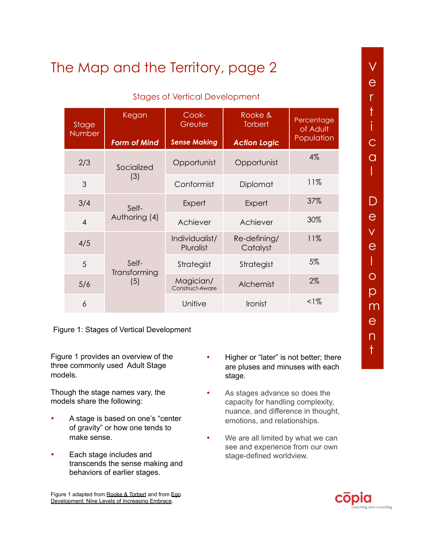## Stages of Vertical Development

| Stage<br>Number | Kegan                        | Cook-<br>Greuter             | Rooke &<br><b>Torbert</b> | Percentage<br>of Adult<br>Population |
|-----------------|------------------------------|------------------------------|---------------------------|--------------------------------------|
|                 | <b>Form of Mind</b>          | <b>Sense Making</b>          | <b>Action Logic</b>       |                                      |
| 2/3             | Socialized<br>(3)            | Opportunist                  | Opportunist               | 4%                                   |
| 3               |                              | Conformist                   | Diplomat                  | 11%                                  |
| 3/4             | Self-<br>Authoring (4)       | Expert                       | Expert                    | 37%                                  |
| $\overline{4}$  |                              | Achiever                     | Achiever                  | 30%                                  |
| 4/5             | Self-<br>Transforming<br>(5) | Individualist/<br>Pluralist  | Re-defining/<br>Catalyst  | 11%                                  |
| 5               |                              | Strategist                   | Strategist                | 5%                                   |
| 5/6             |                              | Magician/<br>Construct-Aware | Alchemist                 | 2%                                   |
| 6               |                              | Unitive                      | <b>Ironist</b>            | $1\%$                                |

Figure 1: Stages of Vertical Development

Figure 1 provides an overview of the three commonly used Adult Stage models.

Though the stage names vary, the models share the following:

- A stage is based on one's "center of gravity" or how one tends to make sense.
- Each stage includes and transcends the sense making and behaviors of earlier stages.
- Higher or "later" is not better; there are pluses and minuses with each stage.
- As stages advance so does the capacity for handling complexity, nuance, and difference in thought, emotions, and relationships.
- We are all limited by what we can see and experience from our own stage-defined worldview.

n  $^+$ 



Figure 1 adapted fro[m Rooke & Torbert](https://prezi.com/ukk41hrvt1rp/7-transformations-of-leadership-rooke-and-torbert/) and from Ego [Development: Nine Levels of Increasing Embrace.](http://www.cook-greuter.com/Cook-Greuter%209%20levels%20paper%20new%201.1)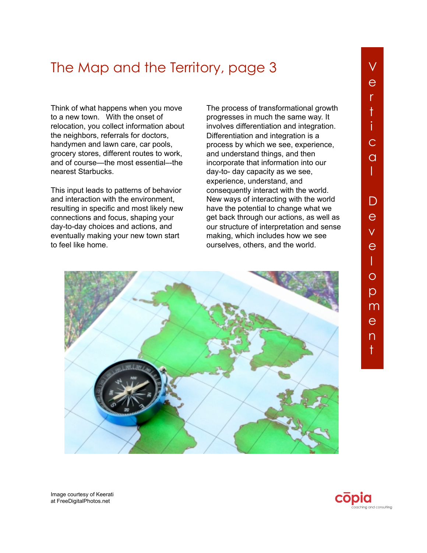Think of what happens when you move to a new town. With the onset of relocation, you collect information about the neighbors, referrals for doctors, handymen and lawn care, car pools, grocery stores, different routes to work, and of course—the most essential–-the nearest Starbucks.

This input leads to patterns of behavior and interaction with the environment, resulting in specific and most likely new connections and focus, shaping your day-to-day choices and actions, and eventually making your new town start to feel like home.

The process of transformational growth progresses in much the same way. It involves differentiation and integration. Differentiation and integration is a process by which we see, experience, and understand things, and then incorporate that information into our day-to- day capacity as we see, experience, understand, and consequently interact with the world. New ways of interacting with the world have the potential to change what we get back through our actions, as well as our structure of interpretation and sense making, which includes how we see ourselves, others, and the world.



Image courtesy of Keerati at FreeDigitalPhotos.net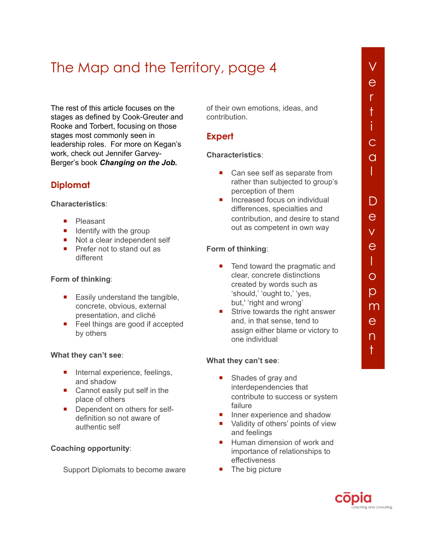The rest of this article focuses on the stages as defined by Cook-Greuter and Rooke and Torbert, focusing on those stages most commonly seen in leadership roles. For more on Kegan's [work, check out Jennifer Garvey-](http://www.amazon.com/Changing-Job-Developing-Leaders-Complex/dp/0804786968)Berger's book *Changing on the Job.*

## **Diplomat**

**Characteristics**:

- **Pleasant**
- $\blacksquare$  Identify with the group
- Not a clear independent self
- **Prefer not to stand out as** different

### **Form of thinking**:

- $\blacksquare$  Easily understand the tangible, concrete, obvious, external presentation, and cliché
- Feel things are good if accepted by others

### **What they can't see**:

- **Internal experience, feelings,** and shadow
- Cannot easily put self in the place of others
- Dependent on others for selfdefinition so not aware of authentic self

### **Coaching opportunity**:

Support Diplomats to become aware

of their own emotions, ideas, and contribution.

## **Expert**

### **Characteristics**:

- Can see self as separate from rather than subjected to group's perception of them
- **Increased focus on individual** differences, specialties and contribution, and desire to stand out as competent in own way

### **Form of thinking**:

- Tend toward the pragmatic and clear, concrete distinctions created by words such as 'should,' 'ought to,' 'yes, but,' 'right and wrong'
- Strive towards the right answer and, in that sense, tend to assign either blame or victory to one individual

### **What they can't see**:

- Shades of gray and interdependencies that contribute to success or system failure
- Inner experience and shadow
- Validity of others' points of view and feelings
- Human dimension of work and importance of relationships to effectiveness
- $\blacksquare$  The big picture



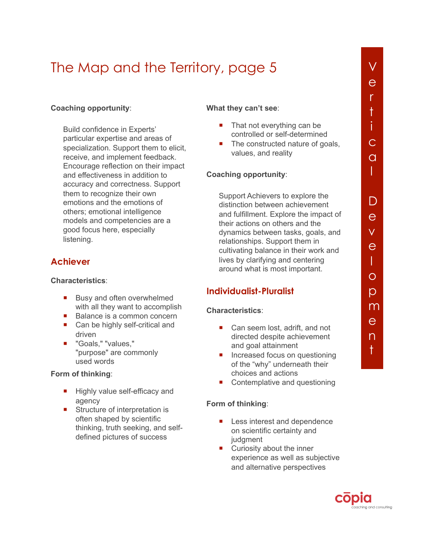### **Coaching opportunity**:

Build confidence in Experts' particular expertise and areas of specialization. Support them to elicit, receive, and implement feedback. Encourage reflection on their impact and effectiveness in addition to accuracy and correctness. Support them to recognize their own emotions and the emotions of others; emotional intelligence models and competencies are a good focus here, especially listening.

## **Achiever**

#### **Characteristics**:

- **Busy and often overwhelmed** with all they want to accomplish
- Balance is a common concern
- Can be highly self-critical and driven
- "Goals," "values," "purpose" are commonly used words

#### **Form of thinking**:

- Highly value self-efficacy and agency
- Structure of interpretation is often shaped by scientific thinking, truth seeking, and selfdefined pictures of success

#### **What they can't see**:

- $\blacksquare$  That not everything can be controlled or self-determined
- The constructed nature of goals. values, and reality

#### **Coaching opportunity**:

Support Achievers to explore the distinction between achievement and fulfillment. Explore the impact of their actions on others and the dynamics between tasks, goals, and relationships. Support them in cultivating balance in their work and lives by clarifying and centering around what is most important.

## **Individualist-Pluralist**

#### **Characteristics**:

- Can seem lost, adrift, and not directed despite achievement and goal attainment
- Increased focus on questioning of the "why" underneath their choices and actions
- Contemplative and questioning

#### **Form of thinking**:

- Less interest and dependence on scientific certainty and judgment
- **EXECUTE:** Curiosity about the inner experience as well as subjective and alternative perspectives



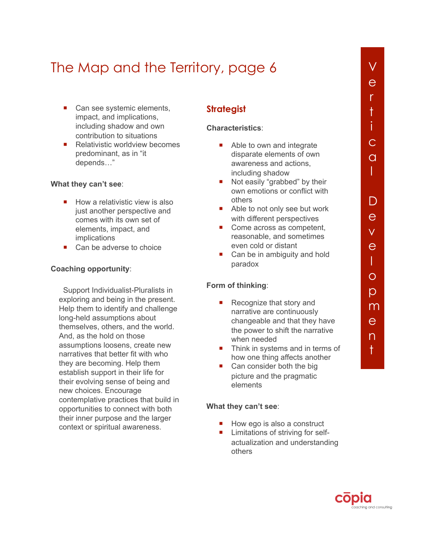- Can see systemic elements, impact, and implications, including shadow and own contribution to situations
- Relativistic worldview becomes predominant, as in "it depends…"

#### **What they can't see**:

- $\blacksquare$  How a relativistic view is also just another perspective and comes with its own set of elements, impact, and implications
- Can be adverse to choice

#### **Coaching opportunity**:

Support Individualist-Pluralists in exploring and being in the present. Help them to identify and challenge long-held assumptions about themselves, others, and the world. And, as the hold on those assumptions loosens, create new narratives that better fit with who they are becoming. Help them establish support in their life for their evolving sense of being and new choices. Encourage contemplative practices that build in opportunities to connect with both their inner purpose and the larger context or spiritual awareness.

## **Strategist**

#### **Characteristics**:

- Able to own and integrate disparate elements of own awareness and actions, including shadow
- Not easily "grabbed" by their own emotions or conflict with others
- Able to not only see but work with different perspectives
- Come across as competent, reasonable, and sometimes even cold or distant
- Can be in ambiguity and hold paradox

#### **Form of thinking**:

- Recognize that story and narrative are continuously changeable and that they have the power to shift the narrative when needed
- Think in systems and in terms of how one thing affects another
- Can consider both the big picture and the pragmatic elements

#### **What they can't see**:

- $\blacksquare$  How ego is also a construct
- **Limitations of striving for self**actualization and understanding others

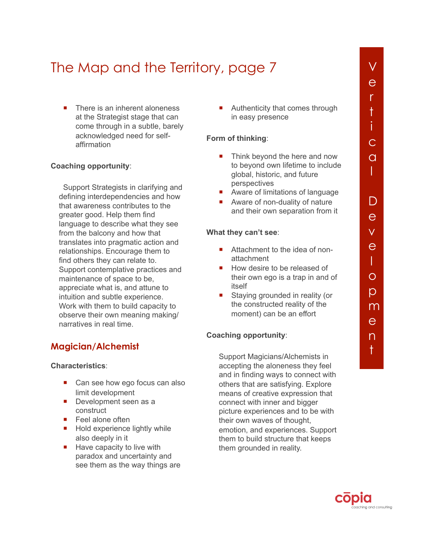■ There is an inherent aloneness at the Strategist stage that can come through in a subtle, barely acknowledged need for selfaffirmation

#### **Coaching opportunity**:

Support Strategists in clarifying and defining interdependencies and how that awareness contributes to the greater good. Help them find language to describe what they see from the balcony and how that translates into pragmatic action and relationships. Encourage them to find others they can relate to. Support contemplative practices and maintenance of space to be, appreciate what is, and attune to intuition and subtle experience. Work with them to build capacity to observe their own meaning making/ narratives in real time.

### **Magician/Alchemist**

#### **Characteristics**:

- Can see how ego focus can also limit development
- Development seen as a construct
- Feel alone often
- **Hold experience lightly while** also deeply in it
- $\blacksquare$  Have capacity to live with paradox and uncertainty and see them as the way things are

**Authenticity that comes through** in easy presence

#### **Form of thinking**:

- Think beyond the here and now to beyond own lifetime to include global, historic, and future perspectives
- Aware of limitations of language
- Aware of non-duality of nature and their own separation from it

#### **What they can't see**:

- Attachment to the idea of nonattachment
- How desire to be released of their own ego is a trap in and of itself
- Staying grounded in reality (or the constructed reality of the moment) can be an effort

#### **Coaching opportunity**:

Support Magicians/Alchemists in accepting the aloneness they feel and in finding ways to connect with others that are satisfying. Explore means of creative expression that connect with inner and bigger picture experiences and to be with their own waves of thought, emotion, and experiences. Support them to build structure that keeps them grounded in reality.

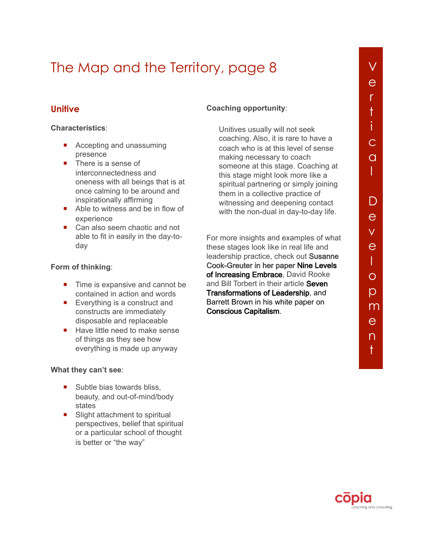## **Unitive**

#### **Characteristics**:

- **Accepting and unassuming** presence
- There is a sense of interconnectedness and oneness with all beings that is at once calming to be around and inspirationally affirming
- Able to witness and be in flow of experience
- Can also seem chaotic and not able to fit in easily in the day-today

### **Form of thinking**:

- $\blacksquare$  Time is expansive and cannot be contained in action and words
- Everything is a construct and constructs are immediately disposable and replaceable
- Have little need to make sense of things as they see how everything is made up anyway

#### **What they can't see**:

- $\blacksquare$  Subtle bias towards bliss. beauty, and out-of-mind/body states
- Slight attachment to spiritual perspectives, belief that spiritual or a particular school of thought is better or "the way"

### **Coaching opportunity**:

Unitives usually will not seek coaching. Also, it is rare to have a coach who is at this level of sense making necessary to coach someone at this stage. Coaching at this stage might look more like a spiritual partnering or simply joining them in a collective practice of witnessing and deepening contact with the non-dual in day-to-day life.

For more insights and examples of what these stages look like in real life and leadership practice, check out Susann**e** [Cook-Greuter in her paper Nine Levels](http://www.cook-greuter.com/Cook-Greuter%209%20levels%20paper%20new%201.1)  of Increasing Embrace, David Rooke and Bill Torbert in their article **Seven** Transformations of Leadership, and [Barrett Brown in his white paper on](https://associates.metaintegral.org/blog/future-leadership-conscious-capitalism)  Conscious Capitalism.

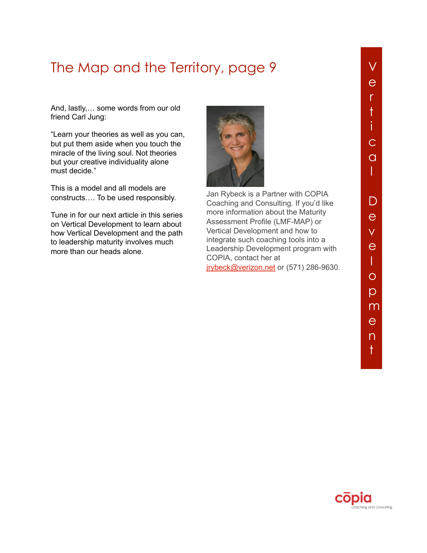And, lastly,… some words from our old friend Carl Jung:

"Learn your theories as well as you can, but put them aside when you touch the miracle of the living soul. Not theories but your creative individuality alone must decide."

This is a model and all models are constructs…. To be used responsibly.

Tune in for our next article in this series on Vertical Development to learn about how Vertical Development and the path to leadership maturity involves much more than our heads alone.



Jan Rybeck is a Partner with COPIA Coaching and Consulting. If you'd like more information about the Maturity Assessment Profile (LMF-MAP) or Vertical Development and how to integrate such coaching tools into a Leadership Development program with COPIA, contact her at irybeck@verizon.net or (571) 286-9630.